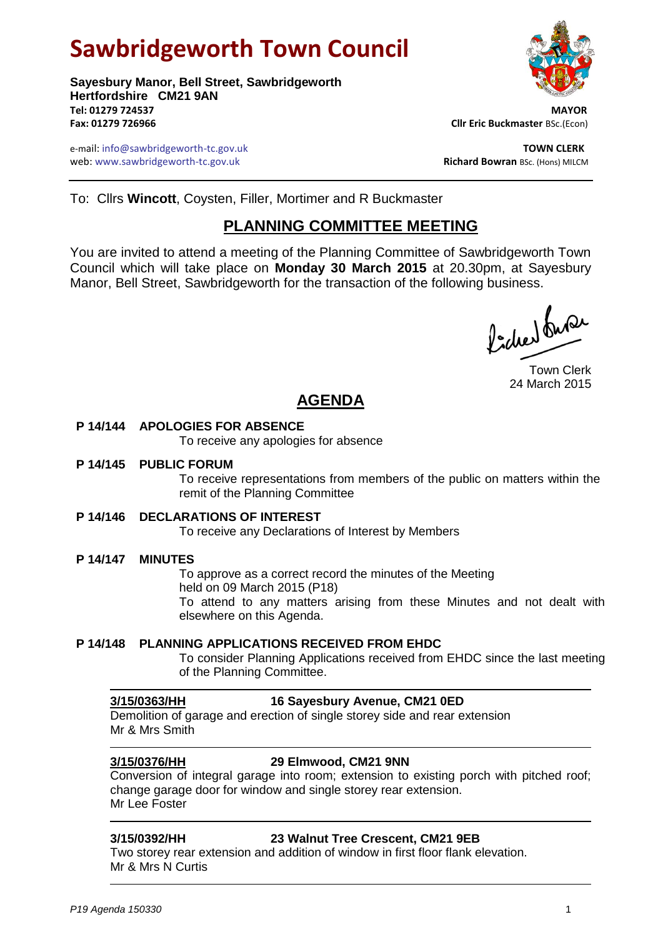# **Sawbridgeworth Town Council**

**Sayesbury Manor, Bell Street, Sawbridgeworth Hertfordshire CM21 9AN Tel: 01279 724537 MAYOR Fax: 01279 726966 Cllr Eric Buckmaster** BSc.(Econ)

e-mail: info@sawbridgeworth-tc.gov.uk **TOWN CLERK** web: www.sawbridgeworth-tc.gov.uk<br> **Richard Bowran** BSc. (Hons) MILCM



To: Cllrs **Wincott**, Coysten, Filler, Mortimer and R Buckmaster

## **PLANNING COMMITTEE MEETING**

You are invited to attend a meeting of the Planning Committee of Sawbridgeworth Town Council which will take place on **Monday 30 March 2015** at 20.30pm, at Sayesbury Manor, Bell Street, Sawbridgeworth for the transaction of the following business.

ladres buse

Town Clerk 24 March 2015

# **AGENDA**

### **P 14/144 APOLOGIES FOR ABSENCE**

To receive any apologies for absence

### **P 14/145 PUBLIC FORUM**

To receive representations from members of the public on matters within the remit of the Planning Committee

### **P 14/146 DECLARATIONS OF INTEREST**

To receive any Declarations of Interest by Members

### **P 14/147 MINUTES**

To approve as a correct record the minutes of the Meeting held on 09 March 2015 (P18) To attend to any matters arising from these Minutes and not dealt with elsewhere on this Agenda.

#### **P 14/148 PLANNING APPLICATIONS RECEIVED FROM EHDC**

To consider Planning Applications received from EHDC since the last meeting of the Planning Committee.

### **3/15/0363/HH 16 Sayesbury Avenue, CM21 0ED**

Demolition of garage and erection of single storey side and rear extension Mr & Mrs Smith

### **3/15/0376/HH 29 Elmwood, CM21 9NN**

Conversion of integral garage into room; extension to existing porch with pitched roof; change garage door for window and single storey rear extension. Mr Lee Foster

### **3/15/0392/HH 23 Walnut Tree Crescent, CM21 9EB**

Two storey rear extension and addition of window in first floor flank elevation. Mr & Mrs N Curtis